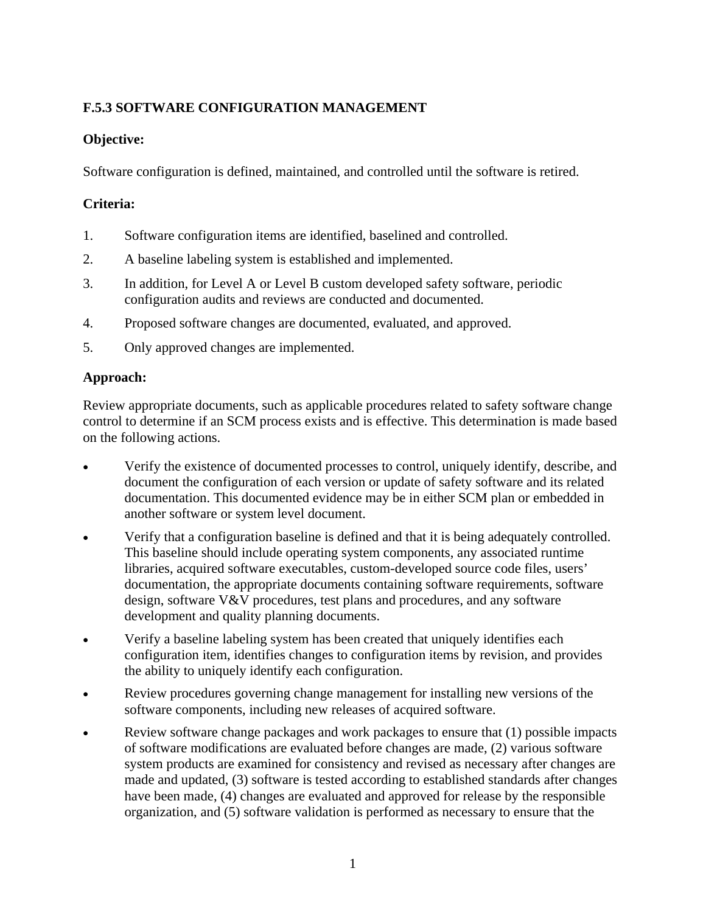## **F.5.3 SOFTWARE CONFIGURATION MANAGEMENT**

## **Objective:**

Software configuration is defined, maintained, and controlled until the software is retired.

## **Criteria:**

- 1. Software configuration items are identified, baselined and controlled.
- 2. A baseline labeling system is established and implemented.
- 3. In addition, for Level A or Level B custom developed safety software, periodic configuration audits and reviews are conducted and documented.
- 4. Proposed software changes are documented, evaluated, and approved.
- 5. Only approved changes are implemented.

## **Approach:**

Review appropriate documents, such as applicable procedures related to safety software change control to determine if an SCM process exists and is effective. This determination is made based on the following actions.

- Verify the existence of documented processes to control, uniquely identify, describe, and document the configuration of each version or update of safety software and its related documentation. This documented evidence may be in either SCM plan or embedded in another software or system level document.
- Verify that a configuration baseline is defined and that it is being adequately controlled. This baseline should include operating system components, any associated runtime libraries, acquired software executables, custom-developed source code files, users' documentation, the appropriate documents containing software requirements, software design, software V&V procedures, test plans and procedures, and any software development and quality planning documents.
- Verify a baseline labeling system has been created that uniquely identifies each configuration item, identifies changes to configuration items by revision, and provides the ability to uniquely identify each configuration.
- Review procedures governing change management for installing new versions of the software components, including new releases of acquired software.
- Review software change packages and work packages to ensure that (1) possible impacts of software modifications are evaluated before changes are made, (2) various software system products are examined for consistency and revised as necessary after changes are made and updated, (3) software is tested according to established standards after changes have been made, (4) changes are evaluated and approved for release by the responsible organization, and (5) software validation is performed as necessary to ensure that the